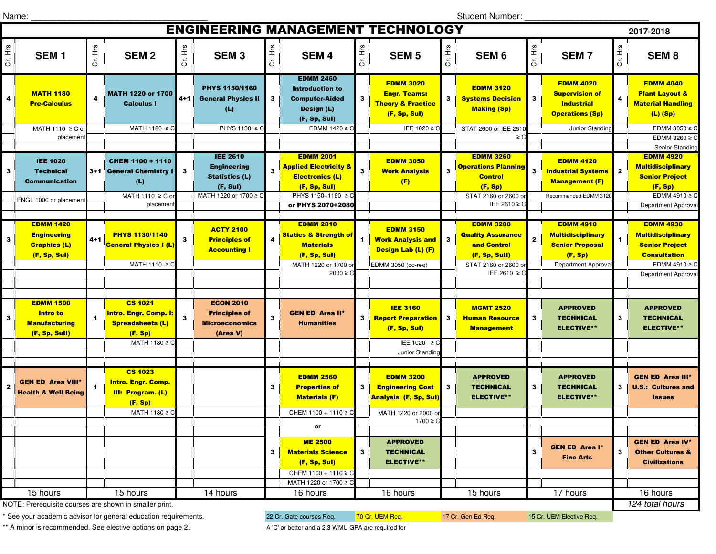Name:  $\Box$ 

Student Number: \_\_\_\_\_\_\_\_\_\_\_\_\_\_\_\_\_\_\_\_\_\_\_\_\_\_

| <b>ENGINEERING MANAGEMENT TECHNOLOGY</b><br>2017-2018                                                                                                   |                                                                                       |         |                                                                                         |              |                                                                                                     |         |                                                                                                                                           |                      |                                                                                                         |                |                                                                                                                    |                         |                                                                                                             |                         |                                                                                                                                                  |
|---------------------------------------------------------------------------------------------------------------------------------------------------------|---------------------------------------------------------------------------------------|---------|-----------------------------------------------------------------------------------------|--------------|-----------------------------------------------------------------------------------------------------|---------|-------------------------------------------------------------------------------------------------------------------------------------------|----------------------|---------------------------------------------------------------------------------------------------------|----------------|--------------------------------------------------------------------------------------------------------------------|-------------------------|-------------------------------------------------------------------------------------------------------------|-------------------------|--------------------------------------------------------------------------------------------------------------------------------------------------|
| Cr. Hrs                                                                                                                                                 | SEM <sub>1</sub>                                                                      | Cr. Hrs | <b>SEM2</b>                                                                             | Cr. Hrs      | <b>SEM3</b>                                                                                         | Cr. Hrs | <b>SEM4</b>                                                                                                                               | Cr. Hrs              | <b>SEM 5</b>                                                                                            | Cr. Hrs        | SEM <sub>6</sub>                                                                                                   | Cr. Hrs                 | <b>SEM7</b>                                                                                                 | Cr. Hrs                 | <b>SEM8</b>                                                                                                                                      |
| 4                                                                                                                                                       | <b>MATH 1180</b><br><b>Pre-Calculus</b><br>MATH 1110 ≥ C or                           | 4       | <b>MATH 1220 or 1700</b><br><b>Calculus I</b><br>MATH 1180 $\geq$ C                     | $4 + 1$      | PHYS 1150/1160<br><b>General Physics II</b><br>(L)<br>PHYS 1130 $\geq$ C                            | 3       | <b>EDMM 2460</b><br><b>Introduction to</b><br><b>Computer-Aided</b><br>Design (L)<br>(F, Sp, Sul)<br>EDMM 1420 ≥ C                        | $\mathbf{3}$         | <b>EDMM 3020</b><br><b>Engr. Teams:</b><br><b>Theory &amp; Practice</b><br>(F, Sp, Sul)<br>IEE 1020 ≥ C | 3 <sup>1</sup> | <b>EDMM 3120</b><br><b>Systems Decision</b><br><b>Making (Sp)</b><br>STAT 2600 or IEE 2610                         | 3                       | <b>EDMM 4020</b><br><b>Supervision of</b><br><b>Industrial</b><br><b>Operations (Sp)</b><br>Junior Standing | $\overline{\mathbf{4}}$ | <b>EDMM 4040</b><br><b>Plant Layout &amp;</b><br><b>Material Handling</b><br>$(L)$ (Sp)<br>EDMM 3050 $\geq$ C                                    |
|                                                                                                                                                         | placemen                                                                              |         |                                                                                         |              |                                                                                                     |         |                                                                                                                                           |                      |                                                                                                         |                | $\geq$ C                                                                                                           |                         |                                                                                                             |                         | EDMM 3260 $\geq$ C                                                                                                                               |
| $\mathbf{3}$                                                                                                                                            | <b>IEE 1020</b><br><b>Technical</b><br><b>Communication</b><br>ENGL 1000 or placement |         | CHEM 1100 + 1110<br>3+1 General Chemistry I<br>(L)<br>MATH 1110 $\geq$ C of<br>placemen | 3            | <b>IEE 2610</b><br><b>Engineering</b><br><b>Statistics (L)</b><br>(F, Sul)<br>MATH 1220 or 1700 ≥ C |         | <b>EDMM 2001</b><br><b>Applied Electricity &amp;</b><br><b>Electronics (L)</b><br>(F, Sp, Sul)<br>PHYS 1150+1160 ≥ C<br>or PHYS 2070+2080 | $\mathbf{3}$         | <b>EDMM 3050</b><br><b>Work Analysis</b><br>(F)                                                         | 3              | <b>EDMM 3260</b><br><b>Operations Planning</b><br><b>Control</b><br>(F, Sp)<br>STAT 2160 or 2600 o<br>IEE 2610 ≥ C | $\overline{\mathbf{3}}$ | <b>EDMM 4120</b><br><b>Industrial Systems</b><br><b>Management (F)</b><br>Recommended EDMM 3120             | $\mathbf{2}$            | Senior Standing<br><b>EDMM 4920</b><br><b>Multidisciplinary</b><br><b>Senior Project</b><br>(F, Sp)<br>EDMM 4910 $\geq$ C<br>Department Approval |
| 3                                                                                                                                                       | <b>EDMM 1420</b><br><b>Engineering</b><br><b>Graphics (L)</b><br>(F, Sp, Sul)         | $4 + 1$ | <b>PHYS 1130/1140</b><br><b>General Physics I (L)</b>                                   | 3            | <b>ACTY 2100</b><br><b>Principles of</b><br><b>Accounting I</b>                                     | 4       | <b>EDMM 2810</b><br><b>Statics &amp; Strength of</b><br><b>Materials</b><br>(F, Sp, Sul)                                                  | $\blacktriangleleft$ | <b>EDMM 3150</b><br><b>Work Analysis and</b><br>Design Lab (L) (F)                                      | $\mathbf{3}$   | <b>EDMM 3280</b><br><b>Quality Assurance</b><br>and Control<br>(F, Sp, Sull)                                       | $\mathbf{2}$            | <b>EDMM 4910</b><br><b>Multidisciplinary</b><br><b>Senior Proposal</b><br>(F, Sp)                           | $\mathbf{1}$            | <b>EDMM 4930</b><br><b>Multidisciplinary</b><br><b>Senior Project</b><br><b>Consultation</b>                                                     |
|                                                                                                                                                         |                                                                                       |         | $MATH 1110 \geq C$                                                                      |              |                                                                                                     |         | MATH 1220 or 1700 or<br>$2000 \ge C$                                                                                                      |                      | EDMM 3050 (co-req)                                                                                      |                | STAT 2160 or 2600 or<br>IEE 2610 $\geq$ C                                                                          |                         | Department Approval                                                                                         |                         | EDMM 4910 $\geq$ C<br>Department Approval                                                                                                        |
| 3                                                                                                                                                       | <b>EDMM 1500</b><br><b>Intro to</b><br><b>Manufacturing</b><br>(F, Sp, Sull)          |         | <b>CS 1021</b><br>Intro. Engr. Comp. I<br><b>Spreadsheets (L)</b><br>(F, Sp)            | $\mathbf{3}$ | <b>ECON 2010</b><br><b>Principles of</b><br><b>Microeconomics</b><br>(Area V)                       | 3       | <b>GEN ED Area II*</b><br><b>Humanities</b>                                                                                               | 3                    | <b>IEE 3160</b><br><b>Report Preparation</b><br>(F, Sp, Sul)                                            | 3              | <b>MGMT 2520</b><br><b>Human Resource</b><br><b>Management</b>                                                     | 3                       | <b>APPROVED</b><br><b>TECHNICAL</b><br><b>ELECTIVE**</b>                                                    | 3                       | <b>APPROVED</b><br><b>TECHNICAL</b><br><b>ELECTIVE**</b>                                                                                         |
|                                                                                                                                                         |                                                                                       |         | MATH 1180 ≥ C                                                                           |              |                                                                                                     |         |                                                                                                                                           |                      | IEE 1020 ≥ C<br>Junior Standing                                                                         |                |                                                                                                                    |                         |                                                                                                             |                         |                                                                                                                                                  |
| $\mathbf{2}$                                                                                                                                            | <b>GEN ED Area VIII</b><br><b>Health &amp; Well Being</b>                             |         | <b>CS 1023</b><br><b>Intro. Engr. Comp.</b><br>III: Program. (L)<br>(F, Sp)             |              |                                                                                                     | 3       | <b>EDMM 2560</b><br><b>Properties of</b><br><b>Materials (F)</b>                                                                          | 3                    | <b>EDMM 3200</b><br><b>Engineering Cost</b><br><b>Analysis (F, Sp, Sul)</b>                             | $\mathbf{3}$   | <b>APPROVED</b><br><b>TECHNICAL</b><br><b>ELECTIVE**</b>                                                           | 3                       | <b>APPROVED</b><br><b>TECHNICAL</b><br><b>ELECTIVE**</b>                                                    | 3                       | <b>GEN ED Area III*</b><br><b>U.S.: Cultures and</b><br><b>Issues</b>                                                                            |
|                                                                                                                                                         |                                                                                       |         | MATH 1180 $\geq$ C                                                                      |              |                                                                                                     |         | CHEM 1100 + 1110 ≥ C<br>or                                                                                                                |                      | MATH 1220 or 2000 o<br>$1700 \ge C$                                                                     |                |                                                                                                                    |                         |                                                                                                             |                         |                                                                                                                                                  |
|                                                                                                                                                         |                                                                                       |         |                                                                                         |              |                                                                                                     | 3       | <b>ME 2500</b><br><b>Materials Science</b><br>(F, Sp, Sul)<br>CHEM 1100 + 1110 ≥ C<br>MATH 1220 or 1700 ≥ C                               | 3                    | <b>APPROVED</b><br><b>TECHNICAL</b><br><b>ELECTIVE**</b>                                                |                |                                                                                                                    | 3                       | <b>GEN ED Area I*</b><br><b>Fine Arts</b>                                                                   | 3                       | <b>GEN ED Area IV*</b><br><b>Other Cultures &amp;</b><br><b>Civilizations</b>                                                                    |
| 17 hours<br>15 hours<br>15 hours<br>14 hours<br>$\overline{16}$ hours<br>15 hours<br>16 hours<br>NOTE: Prerequisite courses are shown in smaller print. |                                                                                       |         |                                                                                         |              |                                                                                                     |         |                                                                                                                                           |                      | 16 hours                                                                                                |                |                                                                                                                    |                         |                                                                                                             |                         |                                                                                                                                                  |
|                                                                                                                                                         |                                                                                       |         |                                                                                         |              |                                                                                                     |         |                                                                                                                                           |                      |                                                                                                         |                |                                                                                                                    |                         |                                                                                                             |                         | 124 total hours                                                                                                                                  |

\* See your academic advisor for general education requirements.

\*\* A minor is recommended. See elective options on page 2.

22 Cr. Gate courses Req. 70 Cr. UEM Req. 17 Cr. Gen Ed Req. 15 Cr. UEM Elective Req. A 'C' or better and a 2.3 WMU GPA are required for